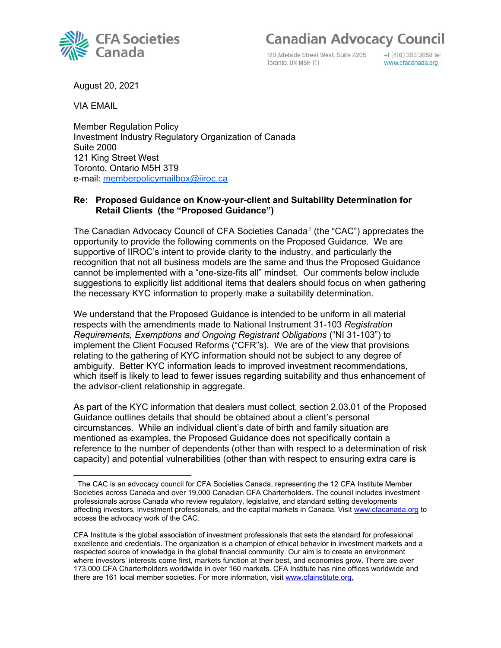120 Adelaide Street West, Suite 2205 Toronto, ON M5H ITI

+1 (416) 366 3658 tel www.cfacanada.org

August 20, 2021

VIA EMAIL

Member Regulation Policy Investment Industry Regulatory Organization of Canada Suite 2000 121 King Street West Toronto, Ontario M5H 3T9 e-mail: [memberpolicymailbox@iiroc.ca](mailto:memberpolicymailbox@iiroc.ca)

## **Re: Proposed Guidance on Know-your-client and Suitability Determination for Retail Clients (the "Proposed Guidance")**

The Canadian Advocacy Council of CFA Societies Canada<sup>[1](#page-0-0)</sup> (the "CAC") appreciates the opportunity to provide the following comments on the Proposed Guidance. We are supportive of IIROC's intent to provide clarity to the industry, and particularly the recognition that not all business models are the same and thus the Proposed Guidance cannot be implemented with a "one-size-fits all" mindset. Our comments below include suggestions to explicitly list additional items that dealers should focus on when gathering the necessary KYC information to properly make a suitability determination.

We understand that the Proposed Guidance is intended to be uniform in all material respects with the amendments made to National Instrument 31-103 *Registration Requirements, Exemptions and Ongoing Registrant Obligations* ("NI 31-103") to implement the Client Focused Reforms ("CFR"s). We are of the view that provisions relating to the gathering of KYC information should not be subject to any degree of ambiguity. Better KYC information leads to improved investment recommendations, which itself is likely to lead to fewer issues regarding suitability and thus enhancement of the advisor-client relationship in aggregate.

As part of the KYC information that dealers must collect, section 2.03.01 of the Proposed Guidance outlines details that should be obtained about a client's personal circumstances. While an individual client's date of birth and family situation are mentioned as examples, the Proposed Guidance does not specifically contain a reference to the number of dependents (other than with respect to a determination of risk capacity) and potential vulnerabilities (other than with respect to ensuring extra care is



<span id="page-0-0"></span><sup>1</sup> The CAC is an advocacy council for CFA Societies Canada, representing the 12 CFA Institute Member Societies across Canada and over 19,000 Canadian CFA Charterholders. The council includes investment professionals across Canada who review regulatory, legislative, and standard setting developments affecting investors, investment professionals, and the capital markets in Canada. Visi[t www.cfacanada.org](http://www.cfacanada.org/) to access the advocacy work of the CAC.

CFA Institute is the global association of investment professionals that sets the standard for professional excellence and credentials. The organization is a champion of ethical behavior in investment markets and a respected source of knowledge in the global financial community. Our aim is to create an environment where investors' interests come first, markets function at their best, and economies grow. There are over 173,000 CFA Charterholders worldwide in over 160 markets. CFA Institute has nine offices worldwide and there are 161 local member societies. For more information, visit [www.cfainstitute.org.](https://can01.safelinks.protection.outlook.com/?url=https%3A%2F%2Fcontactmonkey.com%2Fapi%2Fv1%2Ftracker%3Fcm_session%3D718960d0-5f2d-4f7a-a15c-f773090971d9%26cm_type%3Dlink%26cm_link%3D8955b667-be1f-4c99-b319-59993b649330%26cm_destination%3Dhttp%3A%2F%2Fwww.cfainstitute.org%2F&data=04%7C01%7CKPoster%40aumlaw.com%7C4d99da1c5c584f40fc2108d8ac00672c%7C24c15d4b08d24ae68ea356fa4589e175%7C0%7C0%7C637448465033829093%7CUnknown%7CTWFpbGZsb3d8eyJWIjoiMC4wLjAwMDAiLCJQIjoiV2luMzIiLCJBTiI6Ik1haWwiLCJXVCI6Mn0%3D%7C1000&sdata=ZHcFg4x2BYlL11Vsed5qVfOOdIFfaFzrALA7MXvQctY%3D&reserved=0)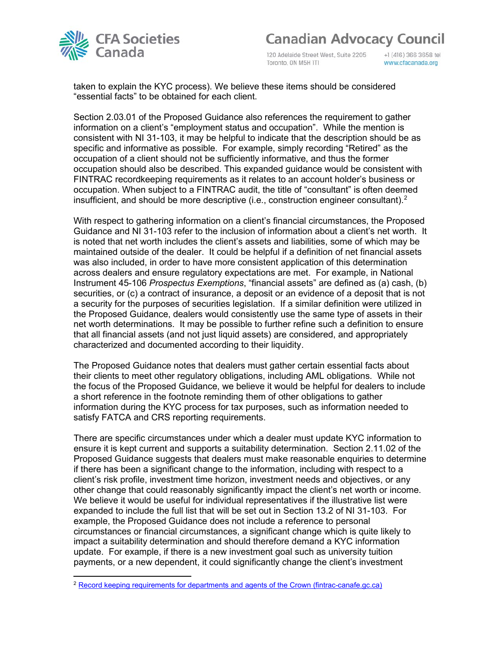

120 Adelaide Street West, Suite 2205 Toronto, ON M5H ITI

+1 (416) 366 3658 tel www.cfacanada.org

taken to explain the KYC process). We believe these items should be considered "essential facts" to be obtained for each client.

Section 2.03.01 of the Proposed Guidance also references the requirement to gather information on a client's "employment status and occupation". While the mention is consistent with NI 31-103, it may be helpful to indicate that the description should be as specific and informative as possible. For example, simply recording "Retired" as the occupation of a client should not be sufficiently informative, and thus the former occupation should also be described. This expanded guidance would be consistent with FINTRAC recordkeeping requirements as it relates to an account holder's business or occupation. When subject to a FINTRAC audit, the title of "consultant" is often deemed insufficient, and should be more descriptive (i.e., construction engineer consultant). $^{\text{2}}$  $^{\text{2}}$  $^{\text{2}}$ 

With respect to gathering information on a client's financial circumstances, the Proposed Guidance and NI 31-103 refer to the inclusion of information about a client's net worth. It is noted that net worth includes the client's assets and liabilities, some of which may be maintained outside of the dealer. It could be helpful if a definition of net financial assets was also included, in order to have more consistent application of this determination across dealers and ensure regulatory expectations are met. For example, in National Instrument 45-106 *Prospectus Exemptions*, "financial assets" are defined as (a) cash, (b) securities, or (c) a contract of insurance, a deposit or an evidence of a deposit that is not a security for the purposes of securities legislation. If a similar definition were utilized in the Proposed Guidance, dealers would consistently use the same type of assets in their net worth determinations. It may be possible to further refine such a definition to ensure that all financial assets (and not just liquid assets) are considered, and appropriately characterized and documented according to their liquidity.

The Proposed Guidance notes that dealers must gather certain essential facts about their clients to meet other regulatory obligations, including AML obligations. While not the focus of the Proposed Guidance, we believe it would be helpful for dealers to include a short reference in the footnote reminding them of other obligations to gather information during the KYC process for tax purposes, such as information needed to satisfy FATCA and CRS reporting requirements.

There are specific circumstances under which a dealer must update KYC information to ensure it is kept current and supports a suitability determination. Section 2.11.02 of the Proposed Guidance suggests that dealers must make reasonable enquiries to determine if there has been a significant change to the information, including with respect to a client's risk profile, investment time horizon, investment needs and objectives, or any other change that could reasonably significantly impact the client's net worth or income. We believe it would be useful for individual representatives if the illustrative list were expanded to include the full list that will be set out in Section 13.2 of NI 31-103. For example, the Proposed Guidance does not include a reference to personal circumstances or financial circumstances, a significant change which is quite likely to impact a suitability determination and should therefore demand a KYC information update. For example, if there is a new investment goal such as university tuition payments, or a new dependent, it could significantly change the client's investment

<span id="page-1-0"></span><sup>2</sup> [Record keeping requirements for departments and agents of the Crown \(fintrac-canafe.gc.ca\)](https://www.fintrac-canafe.gc.ca/guidance-directives/recordkeeping-document/record/agents-eng)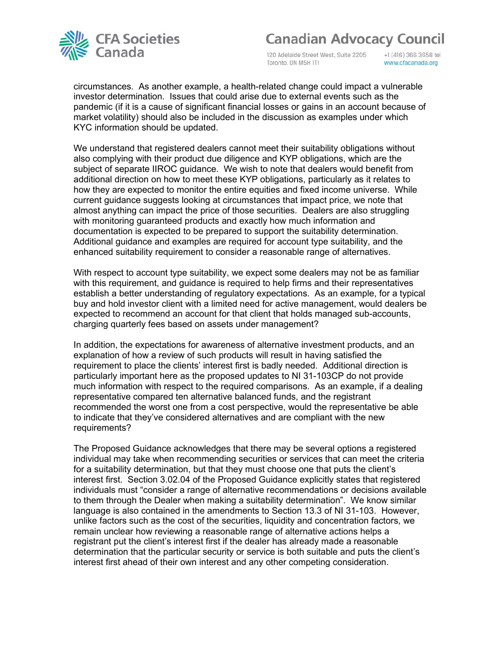

120 Adelaide Street West, Suite 2205 Toronto, ON M5H IT1

+1 (416) 366 3658 tel www.cfacanada.org

circumstances. As another example, a health-related change could impact a vulnerable investor determination. Issues that could arise due to external events such as the pandemic (if it is a cause of significant financial losses or gains in an account because of market volatility) should also be included in the discussion as examples under which KYC information should be updated.

We understand that registered dealers cannot meet their suitability obligations without also complying with their product due diligence and KYP obligations, which are the subject of separate IIROC guidance. We wish to note that dealers would benefit from additional direction on how to meet these KYP obligations, particularly as it relates to how they are expected to monitor the entire equities and fixed income universe. While current guidance suggests looking at circumstances that impact price, we note that almost anything can impact the price of those securities. Dealers are also struggling with monitoring guaranteed products and exactly how much information and documentation is expected to be prepared to support the suitability determination. Additional guidance and examples are required for account type suitability, and the enhanced suitability requirement to consider a reasonable range of alternatives.

With respect to account type suitability, we expect some dealers may not be as familiar with this requirement, and guidance is required to help firms and their representatives establish a better understanding of regulatory expectations. As an example, for a typical buy and hold investor client with a limited need for active management, would dealers be expected to recommend an account for that client that holds managed sub-accounts, charging quarterly fees based on assets under management?

In addition, the expectations for awareness of alternative investment products, and an explanation of how a review of such products will result in having satisfied the requirement to place the clients' interest first is badly needed. Additional direction is particularly important here as the proposed updates to NI 31-103CP do not provide much information with respect to the required comparisons. As an example, if a dealing representative compared ten alternative balanced funds, and the registrant recommended the worst one from a cost perspective, would the representative be able to indicate that they've considered alternatives and are compliant with the new requirements?

The Proposed Guidance acknowledges that there may be several options a registered individual may take when recommending securities or services that can meet the criteria for a suitability determination, but that they must choose one that puts the client's interest first. Section 3.02.04 of the Proposed Guidance explicitly states that registered individuals must "consider a range of alternative recommendations or decisions available to them through the Dealer when making a suitability determination". We know similar language is also contained in the amendments to Section 13.3 of NI 31-103. However, unlike factors such as the cost of the securities, liquidity and concentration factors, we remain unclear how reviewing a reasonable range of alternative actions helps a registrant put the client's interest first if the dealer has already made a reasonable determination that the particular security or service is both suitable and puts the client's interest first ahead of their own interest and any other competing consideration.